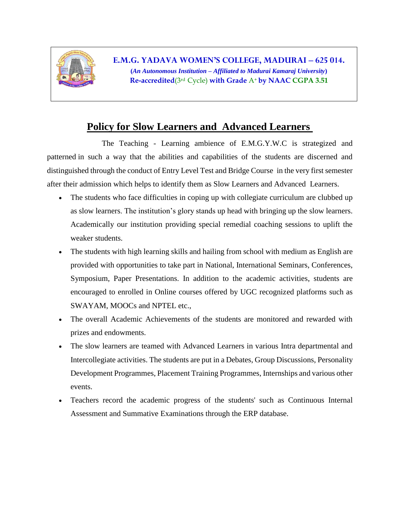

**E.M.G. YADAVA WOMEN'S COLLEGE, MADURAI – 625 014. (***An Autonomous Institution – Affiliated to Madurai Kamaraj University***) Re-accredited**(3rd Cycle) **with Grade** A<sup>+</sup> **by NAAC CGPA 3.51**

## **Policy for Slow Learners and Advanced Learners**

 The Teaching - Learning ambience of E.M.G.Y.W.C is strategized and patterned in such a way that the abilities and capabilities of the students are discerned and distinguished through the conduct of Entry Level Test and Bridge Course in the very first semester after their admission which helps to identify them as Slow Learners and Advanced Learners.

- The students who face difficulties in coping up with collegiate curriculum are clubbed up as slow learners. The institution's glory stands up head with bringing up the slow learners. Academically our institution providing special remedial coaching sessions to uplift the weaker students.
- The students with high learning skills and hailing from school with medium as English are provided with opportunities to take part in National, International Seminars, Conferences, Symposium, Paper Presentations. In addition to the academic activities, students are encouraged to enrolled in Online courses offered by UGC recognized platforms such as SWAYAM, MOOCs and NPTEL etc.,
- The overall Academic Achievements of the students are monitored and rewarded with prizes and endowments.
- The slow learners are teamed with Advanced Learners in various Intra departmental and Intercollegiate activities. The students are put in a Debates, Group Discussions, Personality Development Programmes, Placement Training Programmes, Internships and various other events.
- Teachers record the academic progress of the students' such as Continuous Internal Assessment and Summative Examinations through the ERP database.